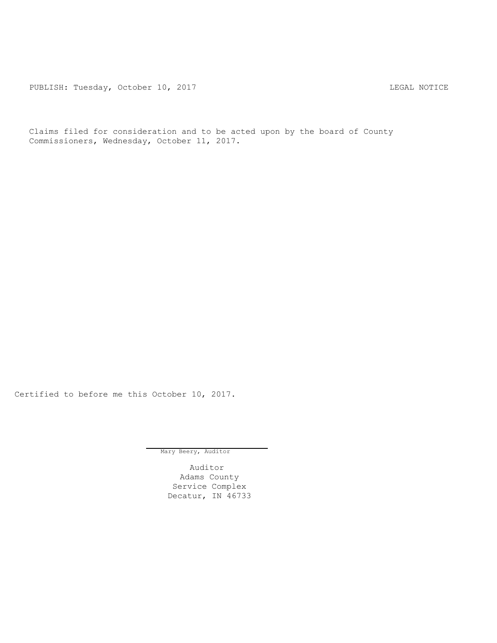PUBLISH: Tuesday, October 10, 2017 LEGAL NOTICE

Claims filed for consideration and to be acted upon by the board of County Commissioners, Wednesday, October 11, 2017.

Certified to before me this October 10, 2017.

Mary Beery, Auditor

Auditor Adams County Service Complex Decatur, IN 46733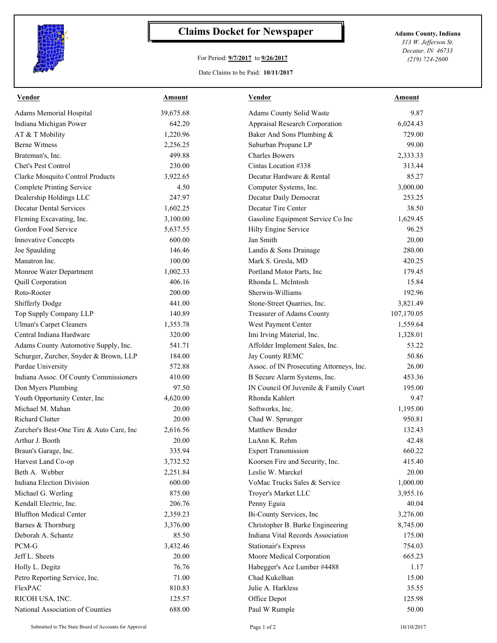

## **Claims Docket for Newspaper Adams County, Indiana**

## For Period: **9/7/2017** to **9/26/2017**

*313 W. Jefferson St. Decatur, IN 46733 (219) 724-2600*

Date Claims to be Paid: **10/11/2017**

| <b>Vendor</b>                            | <u>Amount</u> | <b>Vendor</b>                            | Amount     |
|------------------------------------------|---------------|------------------------------------------|------------|
| Adams Memorial Hospital                  | 39,675.68     | Adams County Solid Waste                 | 9.87       |
| Indiana Michigan Power                   | 642.20        | Appraisal Research Corporation           | 6,024.43   |
| AT & T Mobility                          | 1,220.96      | Baker And Sons Plumbing &                | 729.00     |
| <b>Berne Witness</b>                     | 2,256.25      | Suburban Propane LP                      | 99.00      |
| Brateman's, Inc.                         | 499.88        | <b>Charles Bowers</b>                    | 2,333.33   |
| Chet's Pest Control                      | 230.00        | Cintas Location #338                     | 313.44     |
| Clarke Mosquito Control Products         | 3,922.65      | Decatur Hardware & Rental                | 85.27      |
| <b>Complete Printing Service</b>         | 4.50          | Computer Systems, Inc.                   | 3,000.00   |
| Dealership Holdings LLC                  | 247.97        | Decatur Daily Democrat                   | 253.25     |
| <b>Decatur Dental Services</b>           | 1,602.25      | Decatur Tire Center                      | 38.50      |
| Fleming Excavating, Inc.                 | 3,100.00      | Gasoline Equipment Service Co Inc        | 1,629.45   |
| Gordon Food Service                      | 5,637.55      | Hilty Engine Service                     | 96.25      |
| Innovative Concepts                      | 600.00        | Jan Smith                                | 20.00      |
| Joe Spaulding                            | 146.46        | Landis & Sons Drainage                   | 280.00     |
| Manatron Inc.                            | 100.00        | Mark S. Gresla, MD                       | 420.25     |
| Monroe Water Department                  | 1,002.33      | Portland Motor Parts, Inc                | 179.45     |
| Quill Corporation                        | 406.16        | Rhonda L. McIntosh                       | 15.84      |
| Roto-Rooter                              | 200.00        | Sherwin-Williams                         | 192.96     |
| Shifferly Dodge                          | 441.00        | Stone-Street Quarries, Inc.              | 3,821.49   |
| Top Supply Company LLP                   | 140.89        | Treasurer of Adams County                | 107,170.05 |
| <b>Ulman's Carpet Cleaners</b>           | 1,353.78      | West Payment Center                      | 1,559.64   |
| Central Indiana Hardware                 | 320.00        | Imi Irving Material, Inc.                | 1,328.01   |
| Adams County Automotive Supply, Inc.     | 541.71        | Affolder Implement Sales, Inc.           | 53.22      |
| Schurger, Zurcher, Snyder & Brown, LLP   | 184.00        | Jay County REMC                          | 50.86      |
| Purdue University                        | 572.88        | Assoc. of IN Prosecuting Attorneys, Inc. | 26.00      |
| Indiana Assoc. Of County Commissioners   | 410.00        | B Secure Alarm Systems, Inc.             | 453.36     |
| Don Myers Plumbing                       | 97.50         | IN Council Of Juvenile & Family Court    | 195.00     |
| Youth Opportunity Center, Inc            | 4,620.00      | Rhonda Kahlert                           | 9.47       |
| Michael M. Mahan                         | 20.00         | Softworks, Inc.                          | 1,195.00   |
| Richard Clutter                          | 20.00         | Chad W. Sprunger                         | 950.81     |
| Zurcher's Best-One Tire & Auto Care, Inc | 2,616.56      | Matthew Bender                           | 132.43     |
| Arthur J. Booth                          | 20.00         | LuAnn K. Rehm                            | 42.48      |
| Braun's Garage, Inc.                     | 335.94        | <b>Expert Transmission</b>               | 660.22     |
| Harvest Land Co-op                       | 3,732.52      | Koorsen Fire and Security, Inc.          | 415.40     |
| Beth A. Webber                           | 2,251.84      | Leslie W. Marckel                        | 20.00      |
| Indiana Election Division                | 600.00        | VoMac Trucks Sales & Service             | 1,000.00   |
| Michael G. Werling                       | 875.00        | Troyer's Market LLC                      | 3,955.16   |
| Kendall Electric, Inc.                   | 206.76        | Penny Eguia                              | 40.04      |
| <b>Bluffton Medical Center</b>           | 2,359.23      | Bi-County Services, Inc                  | 3,276.00   |
| Barnes & Thornburg                       | 3,376.00      | Christopher B. Burke Engineering         | 8,745.00   |
| Deborah A. Schantz                       | 85.50         | Indiana Vital Records Association        | 175.00     |
| PCM-G                                    | 3,432.46      | <b>Stationair's Express</b>              | 754.03     |
| Jeff L. Sheets                           | 20.00         | Moore Medical Corporation                | 665.23     |
| Holly L. Degitz                          | 76.76         | Habegger's Ace Lumber #4488              | 1.17       |
| Petro Reporting Service, Inc.            | 71.00         | Chad Kukelhan                            | 15.00      |
| FlexPAC                                  | 810.83        | Julie A. Harkless                        | 35.55      |
| RICOH USA, INC.                          | 125.57        | Office Depot                             | 125.98     |
| National Association of Counties         | 688.00        | Paul W Rumple                            | 50.00      |
|                                          |               |                                          |            |